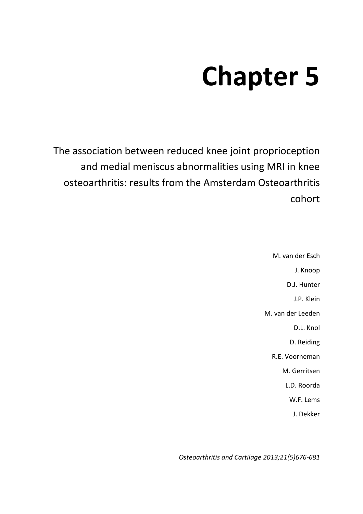# **Chapter 5**

The association between reduced knee joint proprioception and medial meniscus abnormalities using MRI in knee osteoarthritis: results from the Amsterdam Osteoarthritis cohort

> M. van der Esch J. Knoop D.J. Hunter J.P. Klein M. van der Leeden D.L. Knol D. Reiding R.E. Voorneman M. Gerritsen L.D. Roorda W.F. Lems J. Dekker

*Osteoarthritis and Cartilage 2013;21(5)676-681*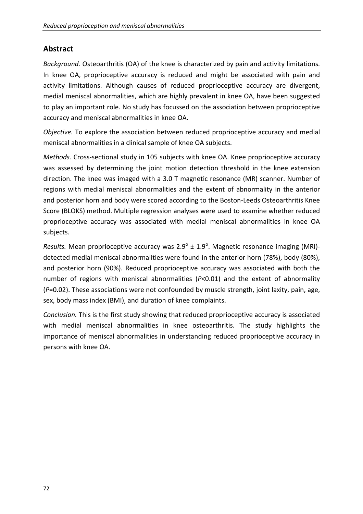## **Abstract**

*Background.* Osteoarthritis (OA) of the knee is characterized by pain and activity limitations. In knee OA, proprioceptive accuracy is reduced and might be associated with pain and activity limitations. Although causes of reduced proprioceptive accuracy are divergent, medial meniscal abnormalities, which are highly prevalent in knee OA, have been suggested to play an important role. No study has focussed on the association between proprioceptive accuracy and meniscal abnormalities in knee OA.

*Objective.* To explore the association between reduced proprioceptive accuracy and medial meniscal abnormalities in a clinical sample of knee OA subjects.

*Methods.* Cross-sectional study in 105 subjects with knee OA. Knee proprioceptive accuracy was assessed by determining the joint motion detection threshold in the knee extension direction. The knee was imaged with a 3.0 T magnetic resonance (MR) scanner. Number of regions with medial meniscal abnormalities and the extent of abnormality in the anterior and posterior horn and body were scored according to the Boston-Leeds Osteoarthritis Knee Score (BLOKS) method. Multiple regression analyses were used to examine whether reduced proprioceptive accuracy was associated with medial meniscal abnormalities in knee OA subjects.

Results. Mean proprioceptive accuracy was 2.9<sup>o</sup> ± 1.9<sup>o</sup>. Magnetic resonance imaging (MRI)detected medial meniscal abnormalities were found in the anterior horn (78%), body (80%), and posterior horn (90%). Reduced proprioceptive accuracy was associated with both the number of regions with meniscal abnormalities (*P*<0.01) and the extent of abnormality (*P*=0.02). These associations were not confounded by muscle strength, joint laxity, pain, age, sex, body mass index (BMI), and duration of knee complaints.

*Conclusion.* This is the first study showing that reduced proprioceptive accuracy is associated with medial meniscal abnormalities in knee osteoarthritis. The study highlights the importance of meniscal abnormalities in understanding reduced proprioceptive accuracy in persons with knee OA.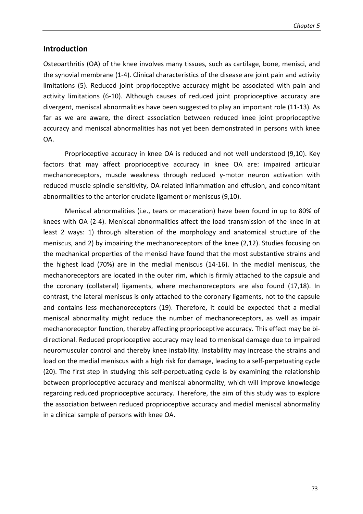### **Introduction**

Osteoarthritis (OA) of the knee involves many tissues, such as cartilage, bone, menisci, and the synovial membrane (1-4). Clinical characteristics of the disease are joint pain and activity limitations (5). Reduced joint proprioceptive accuracy might be associated with pain and activity limitations (6-10). Although causes of reduced joint proprioceptive accuracy are divergent, meniscal abnormalities have been suggested to play an important role (11-13). As far as we are aware, the direct association between reduced knee joint proprioceptive accuracy and meniscal abnormalities has not yet been demonstrated in persons with knee OA.

Proprioceptive accuracy in knee OA is reduced and not well understood (9,10). Key factors that may affect proprioceptive accuracy in knee OA are: impaired articular mechanoreceptors, muscle weakness through reduced γ-motor neuron activation with reduced muscle spindle sensitivity, OA-related inflammation and effusion, and concomitant abnormalities to the anterior cruciate ligament or meniscus (9,10).

Meniscal abnormalities (i.e., tears or maceration) have been found in up to 80% of knees with OA (2-4). Meniscal abnormalities affect the load transmission of the knee in at least 2 ways: 1) through alteration of the morphology and anatomical structure of the meniscus, and 2) by impairing the mechanoreceptors of the knee (2,12). Studies focusing on the mechanical properties of the menisci have found that the most substantive strains and the highest load (70%) are in the medial meniscus (14-16). In the medial meniscus, the mechanoreceptors are located in the outer rim, which is firmly attached to the capsule and the coronary (collateral) ligaments, where mechanoreceptors are also found (17,18). In contrast, the lateral meniscus is only attached to the coronary ligaments, not to the capsule and contains less mechanoreceptors (19). Therefore, it could be expected that a medial meniscal abnormality might reduce the number of mechanoreceptors, as well as impair mechanoreceptor function, thereby affecting proprioceptive accuracy. This effect may be bidirectional. Reduced proprioceptive accuracy may lead to meniscal damage due to impaired neuromuscular control and thereby knee instability. Instability may increase the strains and load on the medial meniscus with a high risk for damage, leading to a self-perpetuating cycle (20). The first step in studying this self-perpetuating cycle is by examining the relationship between proprioceptive accuracy and meniscal abnormality, which will improve knowledge regarding reduced proprioceptive accuracy. Therefore, the aim of this study was to explore the association between reduced proprioceptive accuracy and medial meniscal abnormality in a clinical sample of persons with knee OA.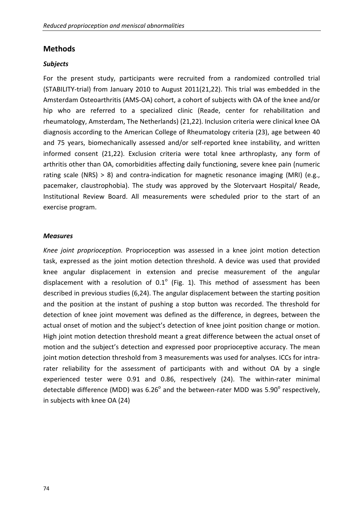## **Methods**

#### *Subjects*

For the present study, participants were recruited from a randomized controlled trial (STABILITY-trial) from January 2010 to August 2011(21,22). This trial was embedded in the Amsterdam Osteoarthritis (AMS-OA) cohort, a cohort of subjects with OA of the knee and/or hip who are referred to a specialized clinic (Reade, center for rehabilitation and rheumatology, Amsterdam, The Netherlands) (21,22). Inclusion criteria were clinical knee OA diagnosis according to the American College of Rheumatology criteria (23), age between 40 and 75 years, biomechanically assessed and/or self-reported knee instability, and written informed consent (21,22). Exclusion criteria were total knee arthroplasty, any form of arthritis other than OA, comorbidities affecting daily functioning, severe knee pain (numeric rating scale (NRS) > 8) and contra-indication for magnetic resonance imaging (MRI) (e.g., pacemaker, claustrophobia). The study was approved by the Slotervaart Hospital/ Reade, Institutional Review Board. All measurements were scheduled prior to the start of an exercise program.

#### *Measures*

*Knee joint proprioception.* Proprioception was assessed in a knee joint motion detection task, expressed as the joint motion detection threshold. A device was used that provided knee angular displacement in extension and precise measurement of the angular displacement with a resolution of  $0.1^{\circ}$  (Fig. 1). This method of assessment has been described in previous studies (6,24). The angular displacement between the starting position and the position at the instant of pushing a stop button was recorded. The threshold for detection of knee joint movement was defined as the difference, in degrees, between the actual onset of motion and the subject's detection of knee joint position change or motion. High joint motion detection threshold meant a great difference between the actual onset of motion and the subject's detection and expressed poor proprioceptive accuracy. The mean joint motion detection threshold from 3 measurements was used for analyses. ICCs for intrarater reliability for the assessment of participants with and without OA by a single experienced tester were 0.91 and 0.86, respectively (24). The within-rater minimal detectable difference (MDD) was 6.26<sup>°</sup> and the between-rater MDD was 5.90<sup>°</sup> respectively, in subjects with knee OA (24)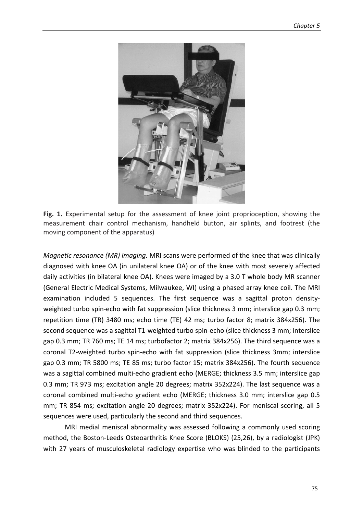

Fig. 1. Experimental setup for the assessment of knee joint proprioception, showing the measurement chair control mechanism, handheld button, air splints, and footrest (the moving component of the apparatus)

*Magnetic resonance (MR) imaging.* MRI scans were performed of the knee that was clinically diagnosed with knee OA (in unilateral knee OA) or of the knee with most severely affected daily activities (in bilateral knee OA). Knees were imaged by a 3.0 T whole body MR scanner (General Electric Medical Systems, Milwaukee, WI) using a phased array knee coil. The MRI examination included 5 sequences. The first sequence was a sagittal proton densityweighted turbo spin-echo with fat suppression (slice thickness 3 mm; interslice gap 0.3 mm; repetition time (TR) 3480 ms; echo time (TE) 42 ms; turbo factor 8; matrix 384x256). The second sequence was a sagittal T1-weighted turbo spin-echo (slice thickness 3 mm; interslice gap 0.3 mm; TR 760 ms; TE 14 ms; turbofactor 2; matrix 384x256). The third sequence was a coronal T2-weighted turbo spin-echo with fat suppression (slice thickness 3mm; interslice gap 0.3 mm; TR 5800 ms; TE 85 ms; turbo factor 15; matrix 384x256). The fourth sequence was a sagittal combined multi-echo gradient echo (MERGE; thickness 3.5 mm; interslice gap 0.3 mm; TR 973 ms; excitation angle 20 degrees; matrix 352x224). The last sequence was a coronal combined multi-echo gradient echo (MERGE; thickness 3.0 mm; interslice gap 0.5 mm; TR 854 ms; excitation angle 20 degrees; matrix 352x224). For meniscal scoring, all 5 sequences were used, particularly the second and third sequences.

MRI medial meniscal abnormality was assessed following a commonly used scoring method, the Boston-Leeds Osteoarthritis Knee Score (BLOKS) (25,26), by a radiologist (JPK) with 27 years of musculoskeletal radiology expertise who was blinded to the participants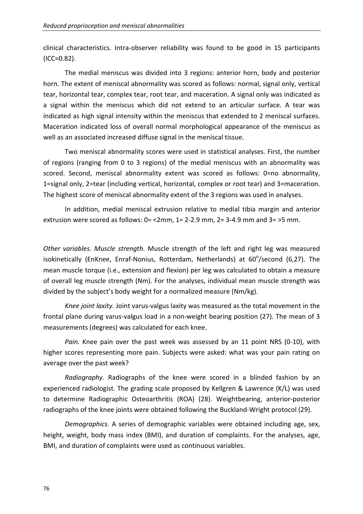clinical characteristics. Intra-observer reliability was found to be good in 15 participants (ICC=0.82).

The medial meniscus was divided into 3 regions: anterior horn, body and posterior horn. The extent of meniscal abnormality was scored as follows: normal, signal only, vertical tear, horizontal tear, complex tear, root tear, and maceration. A signal only was indicated as a signal within the meniscus which did not extend to an articular surface. A tear was indicated as high signal intensity within the meniscus that extended to 2 meniscal surfaces. Maceration indicated loss of overall normal morphological appearance of the meniscus as well as an associated increased diffuse signal in the meniscal tissue.

Two meniscal abnormality scores were used in statistical analyses. First, the number of regions (ranging from 0 to 3 regions) of the medial meniscus with an abnormality was scored. Second, meniscal abnormality extent was scored as follows: 0=no abnormality, 1=signal only, 2=tear (including vertical, horizontal, complex or root tear) and 3=maceration. The highest score of meniscal abnormality extent of the 3 regions was used in analyses.

In addition, medial meniscal extrusion relative to medial tibia margin and anterior extrusion were scored as follows:  $0 = 2$ mm,  $1 = 2-2.9$  mm,  $2 = 3-4.9$  mm and  $3 = 5$  mm.

*Other variables. Muscle strength.* Muscle strength of the left and right leg was measured isokinetically (EnKnee, Enraf-Nonius, Rotterdam, Netherlands) at  $60^{\circ}/$ second (6,27). The mean muscle torque (i.e., extension and flexion) per leg was calculated to obtain a measure of overall leg muscle strength (Nm). For the analyses, individual mean muscle strength was divided by the subject's body weight for a normalized measure (Nm/kg).

*Knee joint laxity.* Joint varus-valgus laxity was measured as the total movement in the frontal plane during varus-valgus load in a non-weight bearing position (27). The mean of 3 measurements (degrees) was calculated for each knee.

*Pain.* Knee pain over the past week was assessed by an 11 point NRS (0-10), with higher scores representing more pain. Subjects were asked: what was your pain rating on average over the past week?

*Radiography.* Radiographs of the knee were scored in a blinded fashion by an experienced radiologist. The grading scale proposed by Kellgren & Lawrence (K/L) was used to determine Radiographic Osteoarthritis (ROA) (28). Weightbearing, anterior-posterior radiographs of the knee joints were obtained following the Buckland-Wright protocol (29).

*Demographics.* A series of demographic variables were obtained including age, sex, height, weight, body mass index (BMI), and duration of complaints. For the analyses, age, BMI, and duration of complaints were used as continuous variables.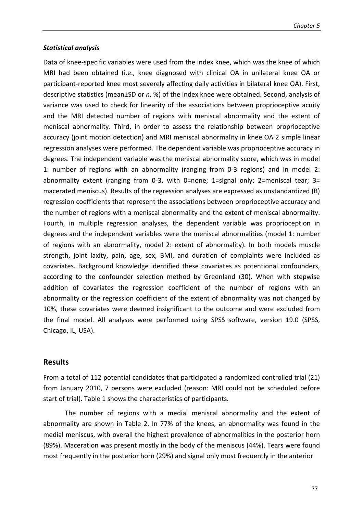#### *Statistical analysis*

Data of knee-specific variables were used from the index knee, which was the knee of which MRI had been obtained (i.e., knee diagnosed with clinical OA in unilateral knee OA or participant-reported knee most severely affecting daily activities in bilateral knee OA). First, descriptive statistics (mean±SD or *n*, %) of the index knee were obtained. Second, analysis of variance was used to check for linearity of the associations between proprioceptive acuity and the MRI detected number of regions with meniscal abnormality and the extent of meniscal abnormality. Third, in order to assess the relationship between proprioceptive accuracy (joint motion detection) and MRI meniscal abnormality in knee OA 2 simple linear regression analyses were performed. The dependent variable was proprioceptive accuracy in degrees. The independent variable was the meniscal abnormality score, which was in model 1: number of regions with an abnormality (ranging from 0-3 regions) and in model 2: abnormality extent (ranging from 0-3, with 0=none; 1=signal only; 2=meniscal tear; 3= macerated meniscus). Results of the regression analyses are expressed as unstandardized (B) regression coefficients that represent the associations between proprioceptive accuracy and the number of regions with a meniscal abnormality and the extent of meniscal abnormality. Fourth, in multiple regression analyses, the dependent variable was proprioception in degrees and the independent variables were the meniscal abnormalities (model 1: number of regions with an abnormality, model 2: extent of abnormality). In both models muscle strength, joint laxity, pain, age, sex, BMI, and duration of complaints were included as covariates. Background knowledge identified these covariates as potentional confounders, according to the confounder selection method by Greenland (30). When with stepwise addition of covariates the regression coefficient of the number of regions with an abnormality or the regression coefficient of the extent of abnormality was not changed by 10%, these covariates were deemed insignificant to the outcome and were excluded from the final model. All analyses were performed using SPSS software, version 19.0 (SPSS, Chicago, IL, USA).

### **Results**

From a total of 112 potential candidates that participated a randomized controlled trial (21) from January 2010, 7 persons were excluded (reason: MRI could not be scheduled before start of trial). Table 1 shows the characteristics of participants.

The number of regions with a medial meniscal abnormality and the extent of abnormality are shown in Table 2. In 77% of the knees, an abnormality was found in the medial meniscus, with overall the highest prevalence of abnormalities in the posterior horn (89%). Maceration was present mostly in the body of the meniscus (44%). Tears were found most frequently in the posterior horn (29%) and signal only most frequently in the anterior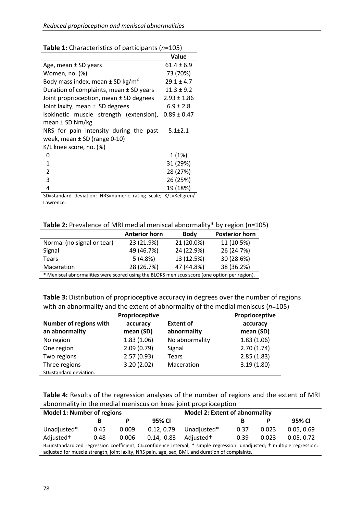|                                                                | Value           |  |  |
|----------------------------------------------------------------|-----------------|--|--|
| Age, mean $\pm$ SD years                                       | $61.4 + 6.9$    |  |  |
| Women, no. (%)                                                 | 73 (70%)        |  |  |
| Body mass index, mean $\pm$ SD kg/m <sup>2</sup>               | $29.1 \pm 4.7$  |  |  |
| Duration of complaints, mean $\pm$ SD years                    | $11.3 \pm 9.2$  |  |  |
| Joint proprioception, mean $\pm$ SD degrees                    | $2.93 \pm 1.86$ |  |  |
| Joint laxity, mean $\pm$ SD degrees                            | $6.9 \pm 2.8$   |  |  |
| Isokinetic muscle strength (extension),                        | $0.89 \pm 0.47$ |  |  |
| mean ± SD Nm/kg                                                |                 |  |  |
| NRS for pain intensity during the past                         | $5.1 + 2.1$     |  |  |
| week, mean $\pm$ SD (range 0-10)                               |                 |  |  |
| K/L knee score, no. (%)                                        |                 |  |  |
| O                                                              | 1(1%)           |  |  |
| 1                                                              | 31 (29%)        |  |  |
| 2                                                              | 28 (27%)        |  |  |
| 3                                                              | 26 (25%)        |  |  |
| 4                                                              | 19 (18%)        |  |  |
| SD=standard deviation; NRS=numeric rating scale; K/L=Kellgren/ |                 |  |  |
| Lawrence.                                                      |                 |  |  |

**Table 1:** Characteristics of participants (*n*=105)

**Table 2:** Prevalence of MRI medial meniscal abnormality\* by region (*n*=105)

|                                                                                              | <b>Anterior horn</b> | <b>Body</b> | <b>Posterior horn</b> |  |
|----------------------------------------------------------------------------------------------|----------------------|-------------|-----------------------|--|
| Normal (no signal or tear)                                                                   | 23 (21.9%)           | 21 (20.0%)  | 11 (10.5%)            |  |
| Signal                                                                                       | 49 (46.7%)           | 24 (22.9%)  | 26 (24.7%)            |  |
| <b>Tears</b>                                                                                 | 5(4.8%)              | 13 (12.5%)  | 30 (28.6%)            |  |
| Maceration                                                                                   | 28 (26.7%)           | 47 (44.8%)  | 38 (36.2%)            |  |
| * Meniscal abnormalities were scored using the BLOKS meniscus score (one option per region). |                      |             |                       |  |

**Table 3:** Distribution of proprioceptive accuracy in degrees over the number of regions with an abnormality and the extent of abnormality of the medial meniscus (*n*=105)

|                        | Proprioceptive | Proprioceptive   |            |  |  |
|------------------------|----------------|------------------|------------|--|--|
| Number of regions with | accuracy       | <b>Extent of</b> | accuracy   |  |  |
| an abnormality         | mean (SD)      | abnormality      | mean (SD)  |  |  |
| No region              | 1.83(1.06)     | No abnormality   | 1.83(1.06) |  |  |
| One region             | 2.09(0.79)     | Signal           | 2.70(1.74) |  |  |
| Two regions            | 2.57(0.93)     | Tears            | 2.85(1.83) |  |  |
| Three regions          | 3.20(2.02)     | Maceration       | 3.19(1.80) |  |  |
| SD=standard deviation. |                |                  |            |  |  |

**Table 4:** Results of the regression analyses of the number of regions and the extent of MRI abnormality in the medial meniscus on knee joint proprioception

| <b>Model 1: Number of regions</b>                                                                                        |      |       | <b>Model 2: Extent of abnormality</b> |                       |      |       |            |
|--------------------------------------------------------------------------------------------------------------------------|------|-------|---------------------------------------|-----------------------|------|-------|------------|
|                                                                                                                          |      |       | 95% CI                                |                       |      |       | 95% CI     |
| Unadjusted*                                                                                                              | 0.45 | 0.009 | 0.12.0.79                             | Unadjusted*           | 0.37 | 0.023 | 0.05, 0.69 |
| Adjusted <sup>+</sup>                                                                                                    | 0.48 | 0.006 | 0.14, 0.83                            | Adiusted <sup>+</sup> | 0.39 | 0.023 | 0.05, 0.72 |
| B=unstandardized regression coefficient; CI=confidence interval; * simple regression: unadjusted; † multiple regression: |      |       |                                       |                       |      |       |            |
| adjusted for muscle strength, joint laxity, NRS pain, age, sex, BMI, and duration of complaints.                         |      |       |                                       |                       |      |       |            |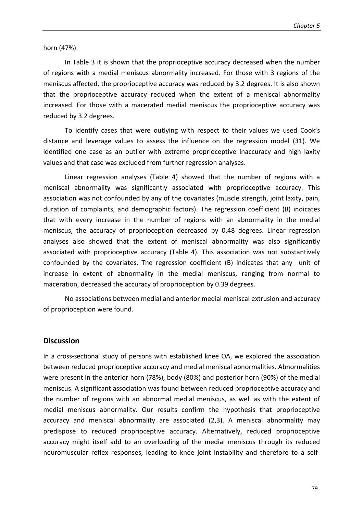horn (47%).

In Table 3 it is shown that the proprioceptive accuracy decreased when the number of regions with a medial meniscus abnormality increased. For those with 3 regions of the meniscus affected, the proprioceptive accuracy was reduced by 3.2 degrees. It is also shown that the proprioceptive accuracy reduced when the extent of a meniscal abnormality increased. For those with a macerated medial meniscus the proprioceptive accuracy was reduced by 3.2 degrees.

To identify cases that were outlying with respect to their values we used Cook's distance and leverage values to assess the influence on the regression model (31). We identified one case as an outlier with extreme proprioceptive inaccuracy and high laxity values and that case was excluded from further regression analyses.

Linear regression analyses (Table 4) showed that the number of regions with a meniscal abnormality was significantly associated with proprioceptive accuracy. This association was not confounded by any of the covariates (muscle strength, joint laxity, pain, duration of complaints, and demographic factors). The regression coefficient (B) indicates that with every increase in the number of regions with an abnormality in the medial meniscus, the accuracy of proprioception decreased by 0.48 degrees. Linear regression analyses also showed that the extent of meniscal abnormality was also significantly associated with proprioceptive accuracy (Table 4). This association was not substantively confounded by the covariates. The regression coefficient (B) indicates that any unit of increase in extent of abnormality in the medial meniscus, ranging from normal to maceration, decreased the accuracy of proprioception by 0.39 degrees.

No associations between medial and anterior medial meniscal extrusion and accuracy of proprioception were found.

#### **Discussion**

In a cross-sectional study of persons with established knee OA, we explored the association between reduced proprioceptive accuracy and medial meniscal abnormalities. Abnormalities were present in the anterior horn (78%), body (80%) and posterior horn (90%) of the medial meniscus. A significant association was found between reduced proprioceptive accuracy and the number of regions with an abnormal medial meniscus, as well as with the extent of medial meniscus abnormality. Our results confirm the hypothesis that proprioceptive accuracy and meniscal abnormality are associated (2,3). A meniscal abnormality may predispose to reduced proprioceptive accuracy. Alternatively, reduced proprioceptive accuracy might itself add to an overloading of the medial meniscus through its reduced neuromuscular reflex responses, leading to knee joint instability and therefore to a self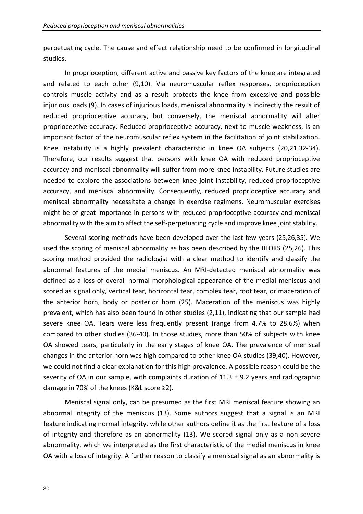perpetuating cycle. The cause and effect relationship need to be confirmed in longitudinal studies.

 In proprioception, different active and passive key factors of the knee are integrated and related to each other (9,10). Via neuromuscular reflex responses, proprioception controls muscle activity and as a result protects the knee from excessive and possible injurious loads (9). In cases of injurious loads, meniscal abnormality is indirectly the result of reduced proprioceptive accuracy, but conversely, the meniscal abnormality will alter proprioceptive accuracy. Reduced proprioceptive accuracy, next to muscle weakness, is an important factor of the neuromuscular reflex system in the facilitation of joint stabilization. Knee instability is a highly prevalent characteristic in knee OA subjects (20,21,32-34). Therefore, our results suggest that persons with knee OA with reduced proprioceptive accuracy and meniscal abnormality will suffer from more knee instability. Future studies are needed to explore the associations between knee joint instability, reduced proprioceptive accuracy, and meniscal abnormality. Consequently, reduced proprioceptive accuracy and meniscal abnormality necessitate a change in exercise regimens. Neuromuscular exercises might be of great importance in persons with reduced proprioceptive accuracy and meniscal abnormality with the aim to affect the self-perpetuating cycle and improve knee joint stability.

 Several scoring methods have been developed over the last few years (25,26,35). We used the scoring of meniscal abnormality as has been described by the BLOKS (25,26). This scoring method provided the radiologist with a clear method to identify and classify the abnormal features of the medial meniscus. An MRI-detected meniscal abnormality was defined as a loss of overall normal morphological appearance of the medial meniscus and scored as signal only, vertical tear, horizontal tear, complex tear, root tear, or maceration of the anterior horn, body or posterior horn (25). Maceration of the meniscus was highly prevalent, which has also been found in other studies (2,11), indicating that our sample had severe knee OA. Tears were less frequently present (range from 4.7% to 28.6%) when compared to other studies (36-40). In those studies, more than 50% of subjects with knee OA showed tears, particularly in the early stages of knee OA. The prevalence of meniscal changes in the anterior horn was high compared to other knee OA studies (39,40). However, we could not find a clear explanation for this high prevalence. A possible reason could be the severity of OA in our sample, with complaints duration of  $11.3 \pm 9.2$  years and radiographic damage in 70% of the knees (K&L score ≥2).

Meniscal signal only, can be presumed as the first MRI meniscal feature showing an abnormal integrity of the meniscus (13). Some authors suggest that a signal is an MRI feature indicating normal integrity, while other authors define it as the first feature of a loss of integrity and therefore as an abnormality (13). We scored signal only as a non-severe abnormality, which we interpreted as the first characteristic of the medial meniscus in knee OA with a loss of integrity. A further reason to classify a meniscal signal as an abnormality is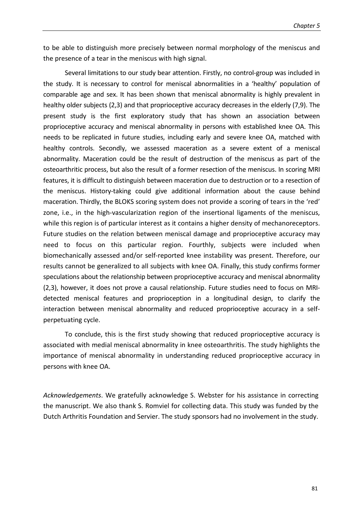to be able to distinguish more precisely between normal morphology of the meniscus and the presence of a tear in the meniscus with high signal.

Several limitations to our study bear attention. Firstly, no control-group was included in the study. It is necessary to control for meniscal abnormalities in a 'healthy' population of comparable age and sex. It has been shown that meniscal abnormality is highly prevalent in healthy older subjects (2,3) and that proprioceptive accuracy decreases in the elderly (7,9). The present study is the first exploratory study that has shown an association between proprioceptive accuracy and meniscal abnormality in persons with established knee OA. This needs to be replicated in future studies, including early and severe knee OA, matched with healthy controls. Secondly, we assessed maceration as a severe extent of a meniscal abnormality. Maceration could be the result of destruction of the meniscus as part of the osteoarthritic process, but also the result of a former resection of the meniscus. In scoring MRI features, it is difficult to distinguish between maceration due to destruction or to a resection of the meniscus. History-taking could give additional information about the cause behind maceration. Thirdly, the BLOKS scoring system does not provide a scoring of tears in the 'red' zone, i.e., in the high-vascularization region of the insertional ligaments of the meniscus, while this region is of particular interest as it contains a higher density of mechanoreceptors. Future studies on the relation between meniscal damage and proprioceptive accuracy may need to focus on this particular region. Fourthly, subjects were included when biomechanically assessed and/or self-reported knee instability was present. Therefore, our results cannot be generalized to all subjects with knee OA. Finally, this study confirms former speculations about the relationship between proprioceptive accuracy and meniscal abnormality (2,3), however, it does not prove a causal relationship. Future studies need to focus on MRIdetected meniscal features and proprioception in a longitudinal design, to clarify the interaction between meniscal abnormality and reduced proprioceptive accuracy in a selfperpetuating cycle.

To conclude, this is the first study showing that reduced proprioceptive accuracy is associated with medial meniscal abnormality in knee osteoarthritis. The study highlights the importance of meniscal abnormality in understanding reduced proprioceptive accuracy in persons with knee OA.

*Acknowledgements*. We gratefully acknowledge S. Webster for his assistance in correcting the manuscript. We also thank S. Romviel for collecting data. This study was funded by the Dutch Arthritis Foundation and Servier. The study sponsors had no involvement in the study.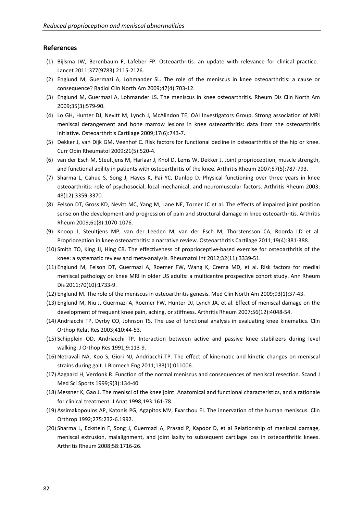#### **References**

- (1) Bijlsma JW, Berenbaum F, Lafeber FP. Osteoarthritis: an update with relevance for clinical practice. Lancet 2011;377(9783):2115-2126.
- (2) Englund M, Guermazi A, Lohmander SL. The role of the meniscus in knee osteoarthritis: a cause or consequence? Radiol Clin North Am 2009;47(4):703-12.
- (3) Englund M, Guermazi A, Lohmander LS. The meniscus in knee osteoarthritis. Rheum Dis Clin North Am 2009;35(3):579-90.
- (4) Lo GH, Hunter DJ, Nevitt M, Lynch J, McAlindon TE; OAI Investigators Group. Strong association of MRI meniscal derangement and bone marrow lesions in knee osteoarthritis: data from the osteoarthritis initiative. Osteoarthritis Cartilage 2009;17(6):743-7.
- (5) Dekker J, van Dijk GM, Veenhof C. Risk factors for functional decline in osteoarthritis of the hip or knee. Curr Opin Rheumatol 2009;21(5):520-4.
- (6) van der Esch M, Steultjens M, Harlaar J, Knol D, Lems W, Dekker J. Joint proprioception, muscle strength, and functional ability in patients with osteoarthritis of the knee. Arthritis Rheum 2007;57(5):787-793.
- (7) Sharma L, Cahue S, Song J, Hayes K, Pai YC, Dunlop D. Physical functioning over three years in knee osteoarthritis: role of psychosocial, local mechanical, and neuromuscular factors. Arthritis Rheum 2003; 48(12):3359-3370.
- (8) Felson DT, Gross KD, Nevitt MC, Yang M, Lane NE, Torner JC et al. The effects of impaired joint position sense on the development and progression of pain and structural damage in knee osteoarthritis. Arthritis Rheum 2009;61(8):1070-1076.
- (9) Knoop J, Steultjens MP, van der Leeden M, van der Esch M, Thorstensson CA, Roorda LD et al. Proprioception in knee osteoarthritis: a narrative review. Osteoarthritis Cartilage 2011;19(4):381-388.
- (10) Smith TO, King JJ, Hing CB. The effectiveness of proprioceptive-based exercise for osteoarthritis of the knee: a systematic review and meta-analysis. Rheumatol Int 2012;32(11):3339-51.
- (11) Englund M, Felson DT, Guermazi A, Roemer FW, Wang K, Crema MD, et al. Risk factors for medial meniscal pathology on knee MRI in older US adults: a multicentre prospective cohort study. Ann Rheum Dis 2011;70(10):1733-9.
- (12) Englund M. The role of the meniscus in osteoarthritis genesis. Med Clin North Am 2009;93(1):37-43.
- (13) Englund M, Niu J, Guermazi A, Roemer FW, Hunter DJ, Lynch JA, et al. Effect of meniscal damage on the development of frequent knee pain, aching, or stiffness. Arthritis Rheum 2007;56(12):4048-54.
- (14) Andriacchi TP, Dyrby CO, Johnson TS. The use of functional analysis in evaluating knee kinematics. Clin Orthop Relat Res 2003;410:44-53.
- (15) Schipplein OD, Andriacchi TP. Interaction between active and passive knee stabilizers during level walking. J Orthop Res 1991;9:113-9.
- (16) Netravali NA, Koo S, Giori NJ, Andriacchi TP. The effect of kinematic and kinetic changes on meniscal strains during gait. J Biomech Eng 2011;133(1):011006.
- (17) Aagaard H, Verdonk R. Function of the normal meniscus and consequences of meniscal resection. Scand J Med Sci Sports 1999;9(3):134-40
- (18) Messner K, Gao J. The menisci of the knee joint. Anatomical and functional characteristics, and a rationale for clinical treatment. J Anat 1998;193:161-78.
- (19) Assimakopoulos AP, Katonis PG, Agapitos MV, Exarchou EI. The innervation of the human meniscus. Clin Orthrop 1992;275:232-6.1992.
- (20) Sharma L, Eckstein F, Song J, Guermazi A, Prasad P, Kapoor D, et al Relationship of meniscal damage, meniscal extrusion, malalignment, and joint laxity to subsequent cartilage loss in osteoarthritic knees. Arthritis Rheum 2008;58:1716-26.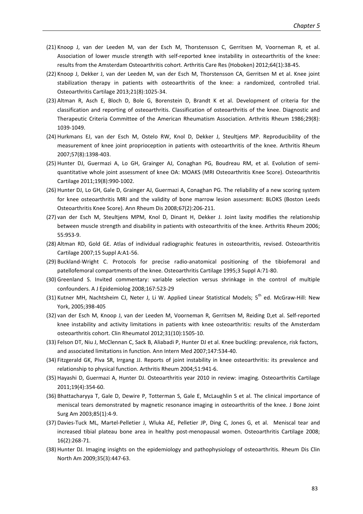- (21) Knoop J, van der Leeden M, van der Esch M, Thorstensson C, Gerritsen M, Voorneman R, et al. Association of lower muscle strength with self-reported knee instability in osteoarthritis of the knee: results from the Amsterdam Osteoarthritis cohort. Arthritis Care Res (Hoboken) 2012;64(1):38-45.
- (22) Knoop J, Dekker J, van der Leeden M, van der Esch M, Thorstensson CA, Gerritsen M et al. Knee joint stabilization therapy in patients with osteoarthritis of the knee: a randomized, controlled trial. Osteoarthritis Cartilage 2013;21(8):1025-34.
- (23) Altman R, Asch E, Bloch D, Bole G, Borenstein D, Brandt K et al. Development of criteria for the classification and reporting of osteoarthritis. Classification of osteoarthritis of the knee. Diagnostic and Therapeutic Criteria Committee of the American Rheumatism Association. Arthritis Rheum 1986;29(8): 1039-1049.
- (24) Hurkmans EJ, van der Esch M, Ostelo RW, Knol D, Dekker J, Steultjens MP. Reproducibility of the measurement of knee joint proprioception in patients with osteoarthritis of the knee. Arthritis Rheum 2007;57(8):1398-403.
- (25) Hunter DJ, Guermazi A, Lo GH, Grainger AJ, Conaghan PG, Boudreau RM, et al. Evolution of semiquantitative whole joint assessment of knee OA: MOAKS (MRI Osteoarthritis Knee Score). Osteoarthritis Cartilage 2011;19(8):990-1002.
- (26) Hunter DJ, Lo GH, Gale D, Grainger AJ, Guermazi A, Conaghan PG. The reliability of a new scoring system for knee osteoarthritis MRI and the validity of bone marrow lesion assessment: BLOKS (Boston Leeds Osteoarthritis Knee Score). Ann Rheum Dis 2008;67(2):206-211.
- (27) van der Esch M, Steultjens MPM, Knol D, Dinant H, Dekker J. Joint laxity modifies the relationship between muscle strength and disability in patients with osteoarthritis of the knee. Arthritis Rheum 2006; 55:953-9.
- (28) Altman RD, Gold GE. Atlas of individual radiographic features in osteoarthritis, revised. Osteoarthritis Cartilage 2007;15 Suppl A:A1-56.
- (29) Buckland-Wright C. Protocols for precise radio-anatomical positioning of the tibiofemoral and patellofemoral compartments of the knee. Osteoarthritis Cartilage 1995;3 Suppl A:71-80.
- (30) Greenland S. Invited commentary: variable selection versus shrinkage in the control of multiple confounders. A J Epidemiolog 2008;167:523-29
- (31) Kutner MH, Nachtsheim CJ, Neter J, Li W. Applied Linear Statistical Models; 5<sup>th</sup> ed. McGraw-Hill: New York, 2005;398-405
- (32) van der Esch M, Knoop J, van der Leeden M, Voorneman R, Gerritsen M, Reiding D,et al. Self-reported knee instability and activity limitations in patients with knee osteoarthritis: results of the Amsterdam osteoarthritis cohort. Clin Rheumatol 2012;31(10):1505-10.
- (33) Felson DT, Niu J, McClennan C, Sack B, Aliabadi P, Hunter DJ et al. Knee buckling: prevalence, risk factors, and associated limitations in function. Ann Intern Med 2007;147:534-40.
- (34) Fitzgerald GK, Piva SR, Irrgang JJ. Reports of joint instability in knee osteoarthritis: its prevalence and relationship to physical function. Arthritis Rheum 2004;51:941-6.
- (35) Hayashi D, Guermazi A, Hunter DJ. Osteoarthritis year 2010 in review: imaging. Osteoarthritis Cartilage 2011;19(4):354-60.
- (36) Bhattacharyya T, Gale D, Dewire P, Totterman S, Gale E, McLaughlin S et al. The clinical importance of meniscal tears demonstrated by magnetic resonance imaging in osteoarthritis of the knee. J Bone Joint Surg Am 2003;85(1):4-9.
- (37) Davies-Tuck ML, Martel-Pelletier J, Wluka AE, Pelletier JP, Ding C, Jones G, et al. Meniscal tear and increased tibial plateau bone area in healthy post-menopausal women. Osteoarthritis Cartilage 2008; 16(2):268-71.
- (38) Hunter DJ. Imaging insights on the epidemiology and pathophysiology of osteoarthritis. Rheum Dis Clin North Am 2009;35(3):447-63.